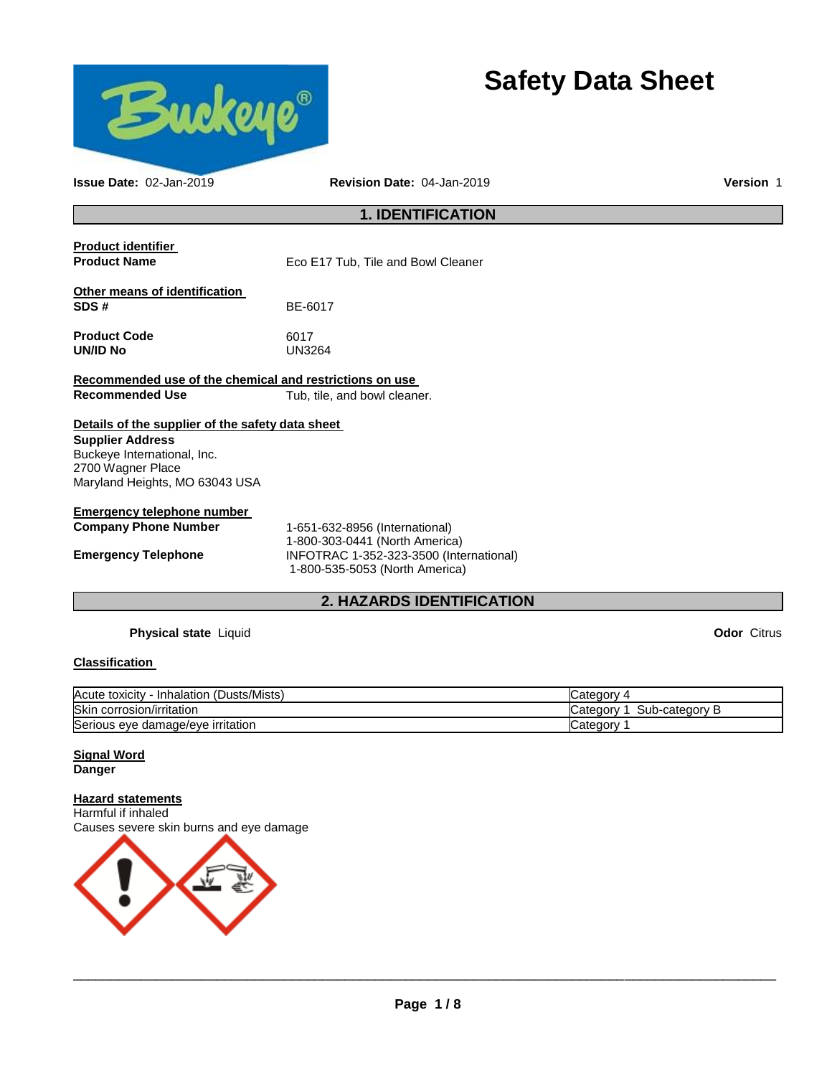

# **Safety Data Sheet**

**1. IDENTIFICATION Product identifier Product Name Eco E17 Tub, Tile and Bowl Cleaner Other means of identification SDS #** BE-6017 **Product Code** 6017 **UN/ID No Recommended use of the chemical and restrictions on use Recommended Use Tub, tile, and bowl cleaner.** 

### **Details of the supplier of the safety data sheet**

**Supplier Address** Buckeye International, Inc. 2700 Wagner Place Maryland Heights, MO 63043 USA

#### **Emergency telephone number**

**Company Phone Number** 1-651-632-8956 (International) 1-800-303-0441 (North America) **Emergency Telephone** INFOTRAC 1-352-323-3500 (International) 1-800-535-5053 (North America)

### **2. HAZARDS IDENTIFICATION**

**Issue Date:** 02-Jan-2019 **Revision Date:** 04-Jan-2019 **Version** 1

**Physical state** Liquid **Odor** Citrus

#### **Classification**

| (Dusts/Mists)<br>Acute toxicity<br><b>Inhalation</b> | ∟ateɑorv                            |
|------------------------------------------------------|-------------------------------------|
| <b>Skin</b><br>n corrosion/irritation                | ∕-bub<br>-categorv<br>∵ateɑorv<br>ட |
| Serious eye damage/eye irritation                    | ′ ategory.                          |

#### **Signal Word Danger**

**Hazard statements** Harmful if inhaled Causes severe skin burns and eye damage

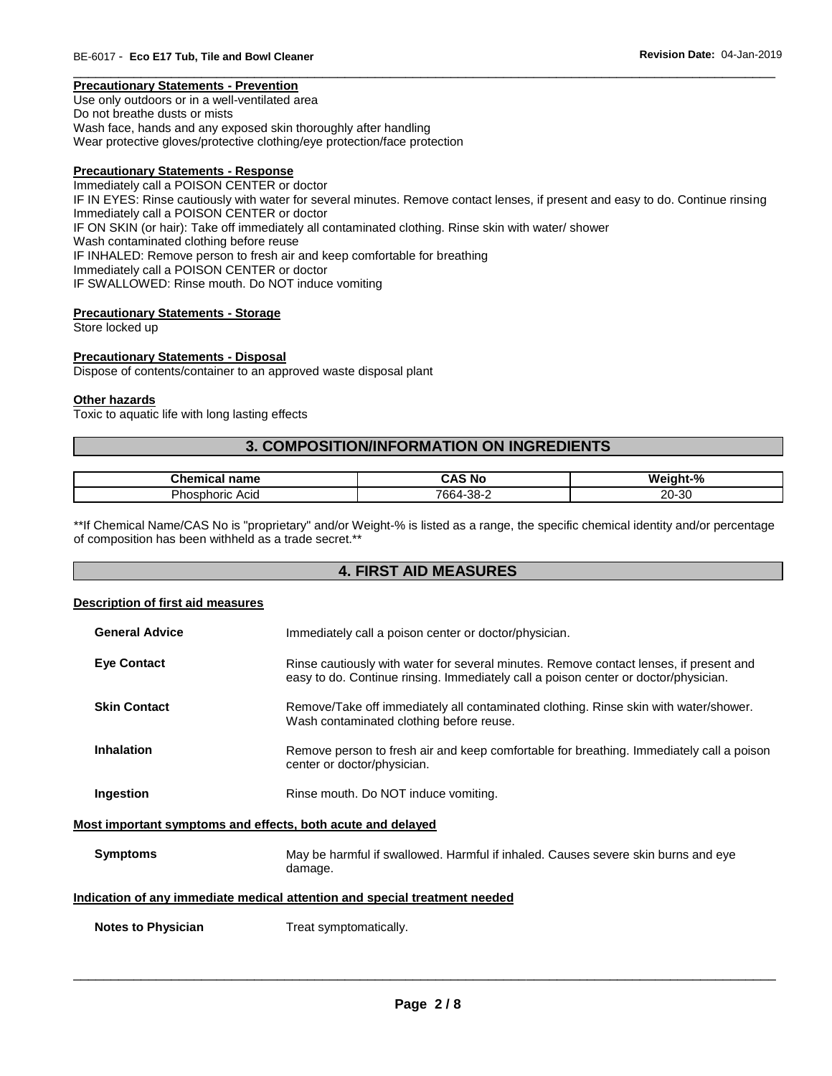#### \_\_\_\_\_\_\_\_\_\_\_\_\_\_\_\_\_\_\_\_\_\_\_\_\_\_\_\_\_\_\_\_\_\_\_\_\_\_\_\_\_\_\_\_\_\_\_\_\_\_\_\_\_\_\_\_\_\_\_\_\_\_\_\_\_\_\_\_\_\_\_\_\_\_\_\_\_\_\_\_\_\_\_\_\_\_\_\_\_\_\_\_\_ **Precautionary Statements - Prevention**

Use only outdoors or in a well-ventilated area Do not breathe dusts or mists Wash face, hands and any exposed skin thoroughly after handling Wear protective gloves/protective clothing/eye protection/face protection

#### **Precautionary Statements - Response**

Immediately call a POISON CENTER or doctor IF IN EYES: Rinse cautiously with water for several minutes. Remove contact lenses, if present and easy to do. Continue rinsing Immediately call a POISON CENTER or doctor IF ON SKIN (or hair): Take off immediately all contaminated clothing. Rinse skin with water/ shower Wash contaminated clothing before reuse IF INHALED: Remove person to fresh air and keep comfortable for breathing Immediately call a POISON CENTER or doctor IF SWALLOWED: Rinse mouth. Do NOT induce vomiting

#### **Precautionary Statements - Storage**

Store locked up

#### **Precautionary Statements - Disposal**

Dispose of contents/container to an approved waste disposal plant

#### **Other hazards**

Toxic to aquatic life with long lasting effects

#### **3. COMPOSITION/INFORMATION ON INGREDIENTS**

| Հhemio<br>name<br>янкаг                 | <b>ିAS N</b> c | Weiaht-% |
|-----------------------------------------|----------------|----------|
| <b>Dhr</b><br>Acia<br>.<br>noric.<br>טו | 7664-38-∠      | 20-30    |

\*\*If Chemical Name/CAS No is "proprietary" and/or Weight-% is listed as a range, the specific chemical identity and/or percentage of composition has been withheld as a trade secret.\*\*

### **4. FIRST AID MEASURES**

#### **Description of first aid measures**

| <b>General Advice</b> | Immediately call a poison center or doctor/physician.                                                                                                                         |
|-----------------------|-------------------------------------------------------------------------------------------------------------------------------------------------------------------------------|
| <b>Eve Contact</b>    | Rinse cautiously with water for several minutes. Remove contact lenses, if present and<br>easy to do. Continue rinsing. Immediately call a poison center or doctor/physician. |
| <b>Skin Contact</b>   | Remove/Take off immediately all contaminated clothing. Rinse skin with water/shower.<br>Wash contaminated clothing before reuse.                                              |
| Inhalation            | Remove person to fresh air and keep comfortable for breathing. Immediately call a poison<br>center or doctor/physician.                                                       |
| Ingestion             | Rinse mouth. Do NOT induce vomiting.                                                                                                                                          |

#### **Most important symptoms and effects, both acute and delayed**

| Symptoms | May be harmful if swallowed. Harmful if inhaled. Causes severe skin burns and eye |
|----------|-----------------------------------------------------------------------------------|
|          | damage.                                                                           |

### **Indication of any immediate medical attention and special treatment needed**

**Notes to Physician**  Treat symptomatically.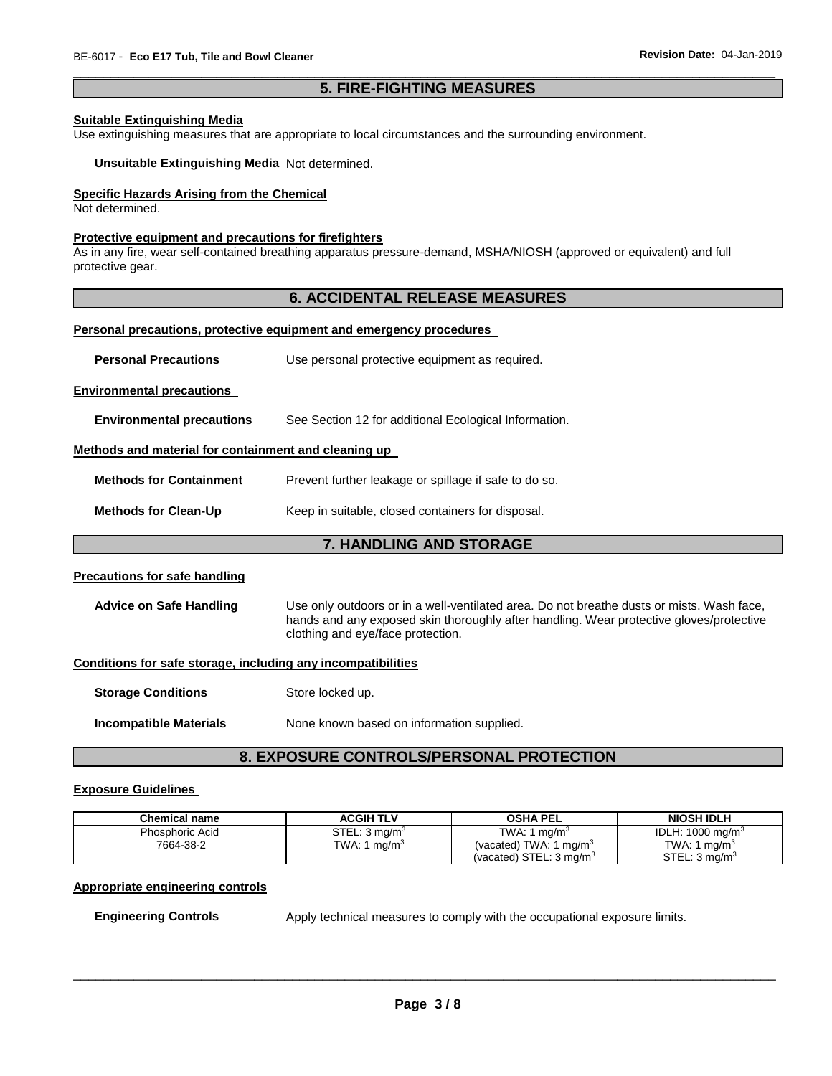### \_\_\_\_\_\_\_\_\_\_\_\_\_\_\_\_\_\_\_\_\_\_\_\_\_\_\_\_\_\_\_\_\_\_\_\_\_\_\_\_\_\_\_\_\_\_\_\_\_\_\_\_\_\_\_\_\_\_\_\_\_\_\_\_\_\_\_\_\_\_\_\_\_\_\_\_\_\_\_\_\_\_\_\_\_\_\_\_\_\_\_\_\_ **5. FIRE-FIGHTING MEASURES**

#### **Suitable Extinguishing Media**

Use extinguishing measures that are appropriate to local circumstances and the surrounding environment.

**Unsuitable Extinguishing Media** Not determined.

#### **Specific Hazards Arising from the Chemical**

Not determined.

#### **Protective equipment and precautions for firefighters**

As in any fire, wear self-contained breathing apparatus pressure-demand, MSHA/NIOSH (approved or equivalent) and full protective gear.

### **6. ACCIDENTAL RELEASE MEASURES**

#### **Personal precautions, protective equipment and emergency procedures**

| <b>Personal Precautions</b>                                  | Use personal protective equipment as required.                                                                                                                                                                            |  |  |
|--------------------------------------------------------------|---------------------------------------------------------------------------------------------------------------------------------------------------------------------------------------------------------------------------|--|--|
| <b>Environmental precautions</b>                             |                                                                                                                                                                                                                           |  |  |
| <b>Environmental precautions</b>                             | See Section 12 for additional Ecological Information.                                                                                                                                                                     |  |  |
| Methods and material for containment and cleaning up         |                                                                                                                                                                                                                           |  |  |
| <b>Methods for Containment</b>                               | Prevent further leakage or spillage if safe to do so.                                                                                                                                                                     |  |  |
| <b>Methods for Clean-Up</b>                                  | Keep in suitable, closed containers for disposal.                                                                                                                                                                         |  |  |
| <b>7. HANDLING AND STORAGE</b>                               |                                                                                                                                                                                                                           |  |  |
| <b>Precautions for safe handling</b>                         |                                                                                                                                                                                                                           |  |  |
| <b>Advice on Safe Handling</b>                               | Use only outdoors or in a well-ventilated area. Do not breathe dusts or mists. Wash face,<br>hands and any exposed skin thoroughly after handling. Wear protective gloves/protective<br>clothing and eye/face protection. |  |  |
| Conditions for safe storage, including any incompatibilities |                                                                                                                                                                                                                           |  |  |
| <b>Storage Conditions</b>                                    | Store locked up.                                                                                                                                                                                                          |  |  |
| <b>Incompatible Materials</b>                                | None known based on information supplied.                                                                                                                                                                                 |  |  |
|                                                              | <b>8. EXPOSURE CONTROLS/PERSONAL PROTECTION</b>                                                                                                                                                                           |  |  |

#### **Exposure Guidelines**

| Chemical name   | <b>ACGIH TLV</b>          | <b>OSHA PEL</b>                    | <b>NIOSH IDLH</b>         |
|-----------------|---------------------------|------------------------------------|---------------------------|
| Phosphoric Acid | STEL: 3 ma/m <sup>3</sup> | TWA: 1 mg/m <sup>3</sup>           | IDLH: 1000 mg/m $3$       |
| 7664-38-2       | TWA: 1 mg/m <sup>3</sup>  | (vacated) TWA: 1 mg/m <sup>3</sup> | TWA: 1 mg/m <sup>3</sup>  |
|                 |                           | (vacated) STEL: $3 \text{ ma/m}^3$ | STEL: 3 ma/m <sup>3</sup> |

#### **Appropriate engineering controls**

**Engineering Controls Apply technical measures to comply with the occupational exposure limits.**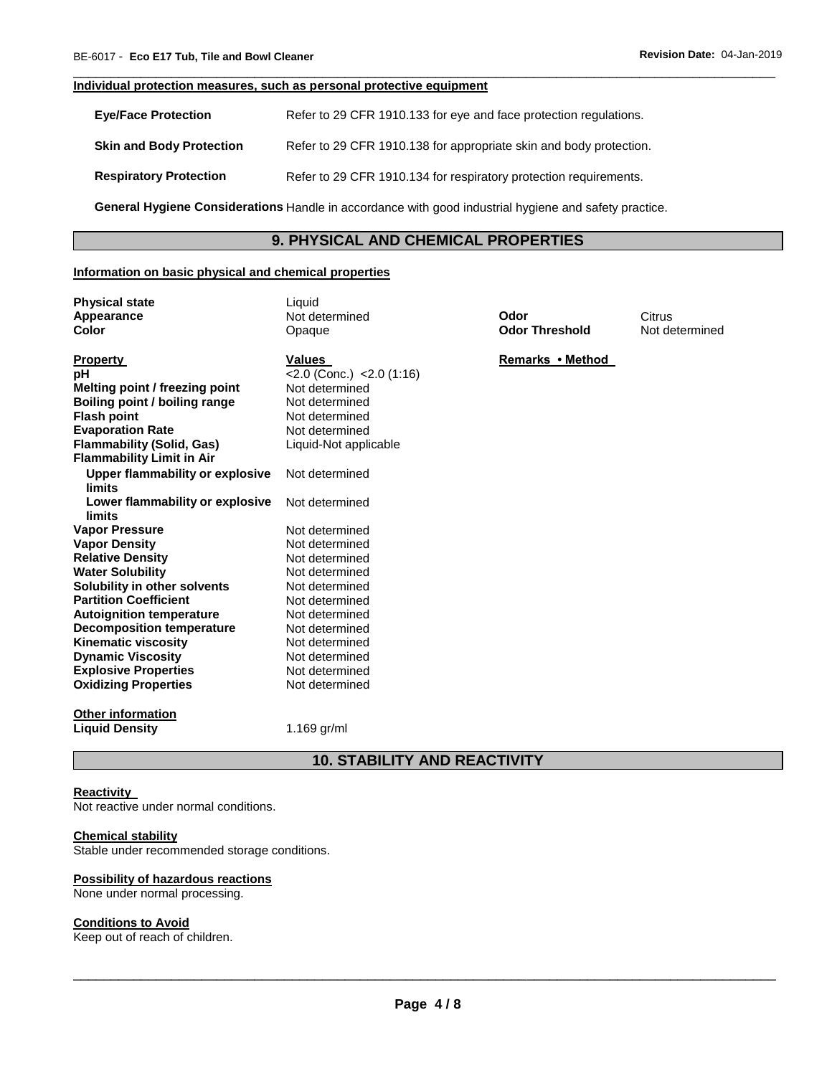#### **Individual protection measures, such as personal protective equipment**

| <b>Eye/Face Protection</b>      | Refer to 29 CFR 1910.133 for eye and face protection regulations.  |
|---------------------------------|--------------------------------------------------------------------|
| <b>Skin and Body Protection</b> | Refer to 29 CFR 1910.138 for appropriate skin and body protection. |
| <b>Respiratory Protection</b>   | Refer to 29 CFR 1910.134 for respiratory protection requirements.  |

**General Hygiene Considerations** Handle in accordance with good industrial hygiene and safety practice.

### **9. PHYSICAL AND CHEMICAL PROPERTIES**

\_\_\_\_\_\_\_\_\_\_\_\_\_\_\_\_\_\_\_\_\_\_\_\_\_\_\_\_\_\_\_\_\_\_\_\_\_\_\_\_\_\_\_\_\_\_\_\_\_\_\_\_\_\_\_\_\_\_\_\_\_\_\_\_\_\_\_\_\_\_\_\_\_\_\_\_\_\_\_\_\_\_\_\_\_\_\_\_\_\_\_\_\_

#### **Information on basic physical and chemical properties**

| <b>Physical state</b>                             | Liauid                         |                       |                |
|---------------------------------------------------|--------------------------------|-----------------------|----------------|
| Appearance                                        | Not determined                 | Odor                  | Citrus         |
| <b>Color</b>                                      | Opaque                         | <b>Odor Threshold</b> | Not determined |
|                                                   |                                |                       |                |
| <b>Property</b>                                   | <b>Values</b>                  | Remarks • Method      |                |
| pH                                                | $<$ 2.0 (Conc.) $<$ 2.0 (1:16) |                       |                |
| Melting point / freezing point                    | Not determined                 |                       |                |
| Boiling point / boiling range                     | Not determined                 |                       |                |
| <b>Flash point</b>                                | Not determined                 |                       |                |
| <b>Evaporation Rate</b>                           | Not determined                 |                       |                |
| <b>Flammability (Solid, Gas)</b>                  | Liquid-Not applicable          |                       |                |
| <b>Flammability Limit in Air</b>                  |                                |                       |                |
| Upper flammability or explosive                   | Not determined                 |                       |                |
| limits                                            |                                |                       |                |
| Lower flammability or explosive                   | Not determined                 |                       |                |
| limits                                            |                                |                       |                |
| <b>Vapor Pressure</b>                             | Not determined                 |                       |                |
| <b>Vapor Density</b>                              | Not determined                 |                       |                |
| <b>Relative Density</b>                           | Not determined                 |                       |                |
| <b>Water Solubility</b>                           | Not determined                 |                       |                |
| Solubility in other solvents                      | Not determined                 |                       |                |
| <b>Partition Coefficient</b>                      | Not determined                 |                       |                |
| <b>Autoignition temperature</b>                   | Not determined                 |                       |                |
| <b>Decomposition temperature</b>                  | Not determined                 |                       |                |
| <b>Kinematic viscosity</b>                        | Not determined                 |                       |                |
| <b>Dynamic Viscosity</b>                          | Not determined                 |                       |                |
| <b>Explosive Properties</b>                       | Not determined                 |                       |                |
| <b>Oxidizing Properties</b>                       | Not determined                 |                       |                |
|                                                   |                                |                       |                |
| <b>Other information</b><br><b>Liquid Density</b> | 1.169 $gr/ml$                  |                       |                |
|                                                   |                                |                       |                |
|                                                   |                                |                       |                |

### **10. STABILITY AND REACTIVITY**

#### **Reactivity**

Not reactive under normal conditions.

#### **Chemical stability**

Stable under recommended storage conditions.

#### **Possibility of hazardous reactions**

None under normal processing.

#### **Conditions to Avoid**

Keep out of reach of children.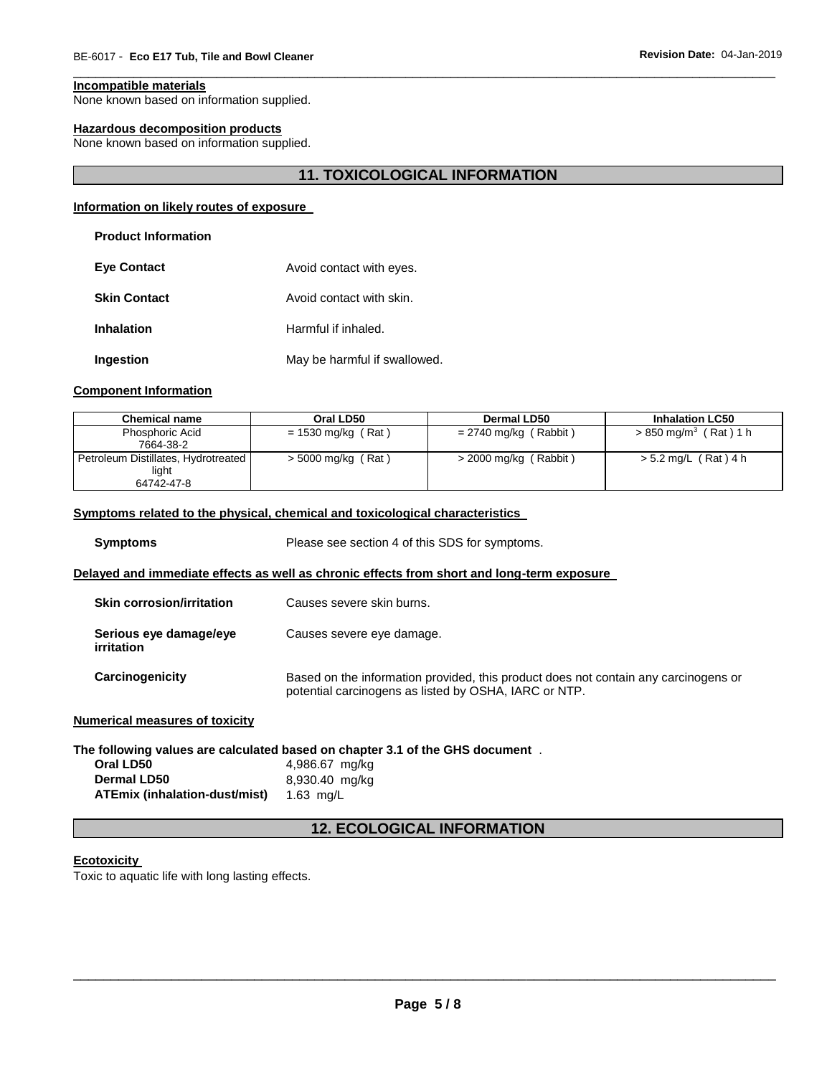#### **Incompatible materials**

None known based on information supplied.

#### **Hazardous decomposition products**

None known based on information supplied.

### **11. TOXICOLOGICAL INFORMATION**

\_\_\_\_\_\_\_\_\_\_\_\_\_\_\_\_\_\_\_\_\_\_\_\_\_\_\_\_\_\_\_\_\_\_\_\_\_\_\_\_\_\_\_\_\_\_\_\_\_\_\_\_\_\_\_\_\_\_\_\_\_\_\_\_\_\_\_\_\_\_\_\_\_\_\_\_\_\_\_\_\_\_\_\_\_\_\_\_\_\_\_\_\_

#### **Information on likely routes of exposure**

#### **Product Information**

| <b>Eve Contact</b>  | Avoid contact with eyes.     |  |
|---------------------|------------------------------|--|
| <b>Skin Contact</b> | Avoid contact with skin.     |  |
| <b>Inhalation</b>   | Harmful if inhaled.          |  |
| Ingestion           | May be harmful if swallowed. |  |

#### **Component Information**

| <b>Chemical name</b>                | Oral LD50            | Dermal LD50             | <b>Inhalation LC50</b>           |
|-------------------------------------|----------------------|-------------------------|----------------------------------|
| Phosphoric Acid                     | $= 1530$ mg/kg (Rat) | $= 2740$ mg/kg (Rabbit) | $> 850 \text{ mg/m}^3$ (Rat) 1 h |
| 7664-38-2                           |                      |                         |                                  |
| Petroleum Distillates, Hydrotreated | $>$ 5000 mg/kg (Rat) | > 2000 mg/kg (Rabbit)   | > 5.2 mg/L (Rat) 4 h             |
| light                               |                      |                         |                                  |
| 64742-47-8                          |                      |                         |                                  |

#### **Symptoms related to the physical, chemical and toxicological characteristics**

| <b>Symptoms</b>                      | Please see section 4 of this SDS for symptoms.                                                                                               |  |
|--------------------------------------|----------------------------------------------------------------------------------------------------------------------------------------------|--|
|                                      | Delayed and immediate effects as well as chronic effects from short and long-term exposure                                                   |  |
| <b>Skin corrosion/irritation</b>     | Causes severe skin burns.                                                                                                                    |  |
| Serious eye damage/eye<br>irritation | Causes severe eye damage.                                                                                                                    |  |
| Carcinogenicity                      | Based on the information provided, this product does not contain any carcinogens or<br>potential carcinogens as listed by OSHA, IARC or NTP. |  |
| Numerical measures of toxicitv       |                                                                                                                                              |  |

### **The following values are calculated based on chapter 3.1 of the GHS document** . **Oral LD50** 4,986.67 mg/kg **Dermal LD50** 8,930.40 mg/kg

**ATEmix (inhalation-dust/mist)** 1.63 mg/L

### **12. ECOLOGICAL INFORMATION**

#### **Ecotoxicity**

Toxic to aquatic life with long lasting effects.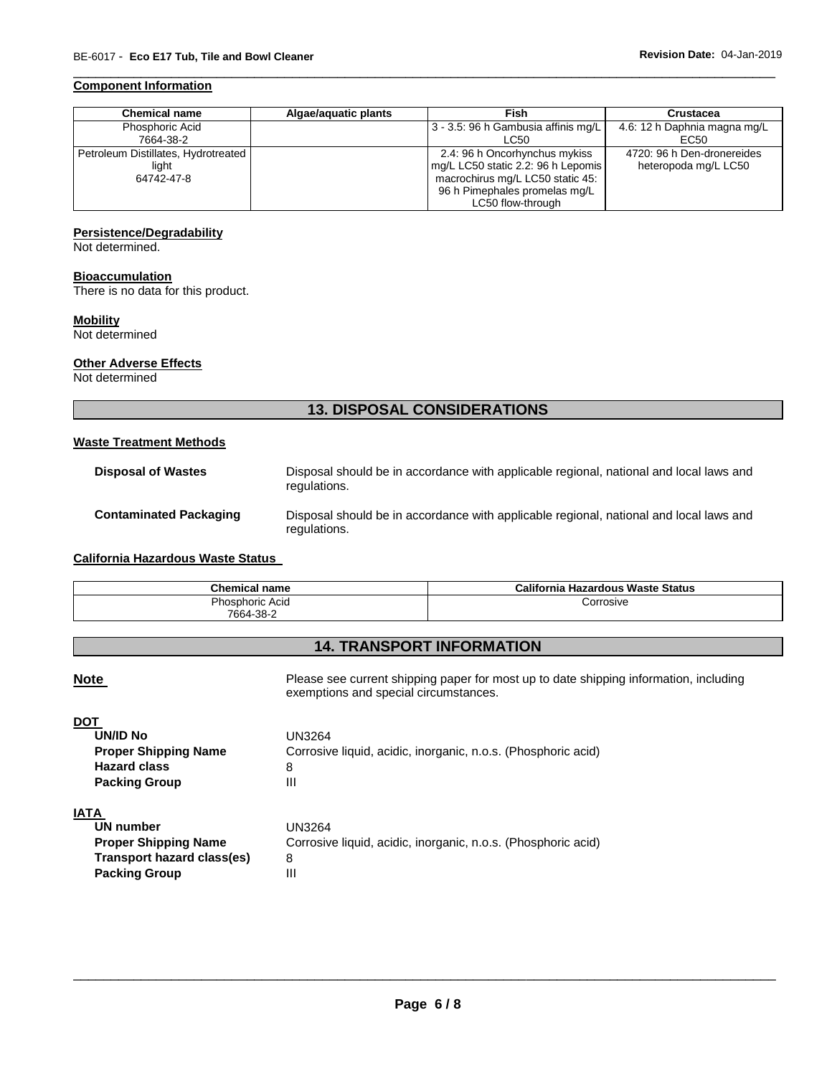#### **Component Information**

| <b>Chemical name</b>                                       | Algae/aguatic plants | Fish                                                                                                                                                          | Crustacea                                          |
|------------------------------------------------------------|----------------------|---------------------------------------------------------------------------------------------------------------------------------------------------------------|----------------------------------------------------|
| Phosphoric Acid<br>7664-38-2                               |                      | 3 - 3.5: 96 h Gambusia affinis mg/L<br>LC50                                                                                                                   | 4.6: 12 h Daphnia magna mg/L<br>EC50               |
| Petroleum Distillates, Hydrotreated<br>light<br>64742-47-8 |                      | 2.4: 96 h Oncorhynchus mykiss<br>mg/L LC50 static 2.2: 96 h Lepomis<br>macrochirus mg/L LC50 static 45:<br>96 h Pimephales promelas mg/L<br>LC50 flow-through | 4720: 96 h Den-dronereides<br>heteropoda mg/L LC50 |

\_\_\_\_\_\_\_\_\_\_\_\_\_\_\_\_\_\_\_\_\_\_\_\_\_\_\_\_\_\_\_\_\_\_\_\_\_\_\_\_\_\_\_\_\_\_\_\_\_\_\_\_\_\_\_\_\_\_\_\_\_\_\_\_\_\_\_\_\_\_\_\_\_\_\_\_\_\_\_\_\_\_\_\_\_\_\_\_\_\_\_\_\_

#### **Persistence/Degradability**

Not determined.

#### **Bioaccumulation**

There is no data for this product.

#### **Mobility**

Not determined

#### **Other Adverse Effects**

Not determined

## **13. DISPOSAL CONSIDERATIONS**

### **Waste Treatment Methods**

| <b>Disposal of Wastes</b>     | Disposal should be in accordance with applicable regional, national and local laws and<br>regulations. |
|-------------------------------|--------------------------------------------------------------------------------------------------------|
| <b>Contaminated Packaging</b> | Disposal should be in accordance with applicable regional, national and local laws and<br>regulations. |

### **California Hazardous Waste Status**

| <b>Chemical name</b> | California Hazardous Waste Status |
|----------------------|-----------------------------------|
| Phosphoric Acid      | Corrosive                         |
| 7664-38-2            |                                   |

## **14. TRANSPORT INFORMATION**

Note **Note Please see current shipping paper for most up to date shipping information, including** exemptions and special circumstances.

| DOT                         |                                                               |
|-----------------------------|---------------------------------------------------------------|
| <b>UN/ID No</b>             | UN3264                                                        |
| <b>Proper Shipping Name</b> | Corrosive liquid, acidic, inorganic, n.o.s. (Phosphoric acid) |
| <b>Hazard class</b>         | 8                                                             |
| <b>Packing Group</b>        | Ш                                                             |
| IATA                        |                                                               |
| UN number                   | UN3264                                                        |
| <b>Proper Shipping Name</b> | Corrosive liquid, acidic, inorganic, n.o.s. (Phosphoric acid) |
| Transport hazard class(es)  | 8                                                             |
| <b>Packing Group</b>        | Ш                                                             |
|                             |                                                               |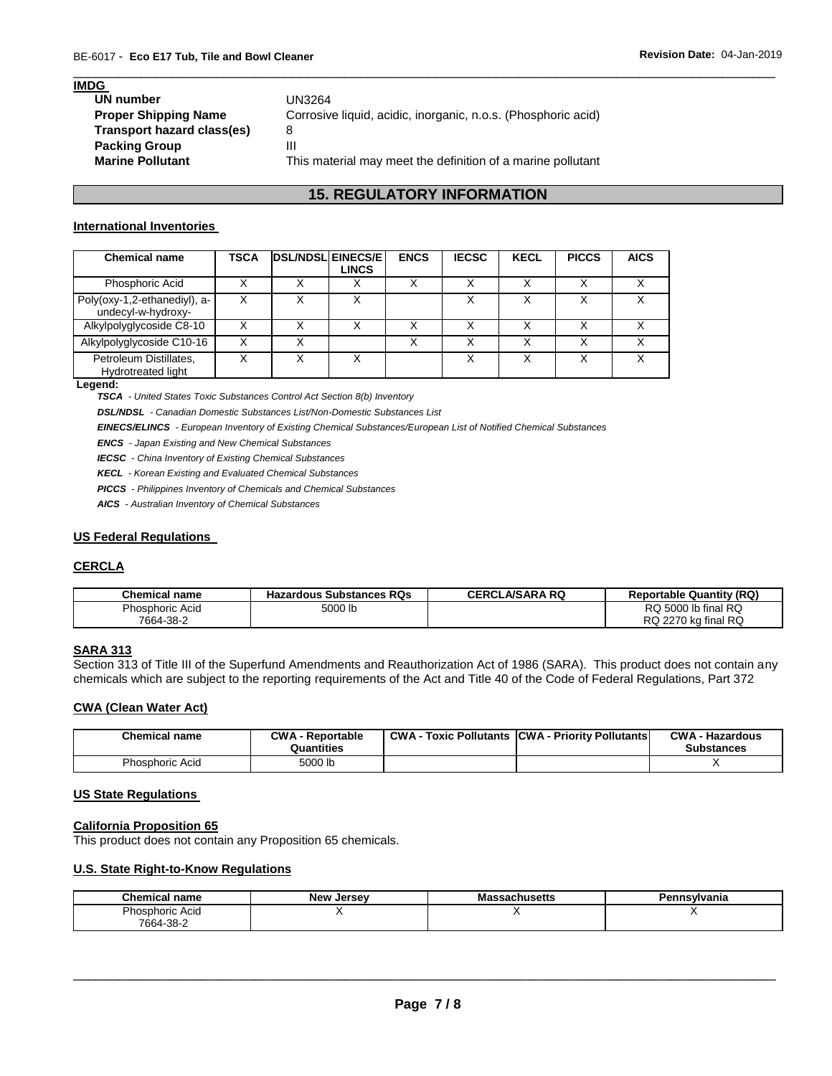#### **IMDG**

| UN number                   | UN3264                                                        |
|-----------------------------|---------------------------------------------------------------|
| <b>Proper Shipping Name</b> | Corrosive liquid, acidic, inorganic, n.o.s. (Phosphoric acid) |
| Transport hazard class(es)  | 8                                                             |
| <b>Packing Group</b>        | Ш                                                             |
| <b>Marine Pollutant</b>     | This material may meet the definition of a marine pollutant   |
|                             |                                                               |

### **15. REGULATORY INFORMATION**

\_\_\_\_\_\_\_\_\_\_\_\_\_\_\_\_\_\_\_\_\_\_\_\_\_\_\_\_\_\_\_\_\_\_\_\_\_\_\_\_\_\_\_\_\_\_\_\_\_\_\_\_\_\_\_\_\_\_\_\_\_\_\_\_\_\_\_\_\_\_\_\_\_\_\_\_\_\_\_\_\_\_\_\_\_\_\_\_\_\_\_\_\_

#### **International Inventories**

| <b>Chemical name</b>                               | TSCA | <b>DSL/NDSL EINECS/E</b><br>LINCS | <b>ENCS</b> | <b>IECSC</b> | <b>KECL</b>  | <b>PICCS</b> | <b>AICS</b> |
|----------------------------------------------------|------|-----------------------------------|-------------|--------------|--------------|--------------|-------------|
| Phosphoric Acid                                    |      |                                   | v           |              |              |              |             |
| Poly(oxy-1,2-ethanediyl), a-<br>undecyl-w-hydroxy- |      |                                   |             |              |              |              |             |
| Alkylpolyglycoside C8-10                           |      |                                   | ៶           |              |              |              |             |
| Alkylpolyglycoside C10-16                          |      |                                   | Χ           |              | $\checkmark$ | 丷            |             |
| Petroleum Distillates,<br>Hydrotreated light       |      |                                   |             |              |              |              |             |

#### **Legend:**

*TSCA - United States Toxic Substances Control Act Section 8(b) Inventory* 

*DSL/NDSL - Canadian Domestic Substances List/Non-Domestic Substances List* 

*EINECS/ELINCS - European Inventory of Existing Chemical Substances/European List of Notified Chemical Substances* 

*ENCS - Japan Existing and New Chemical Substances* 

*IECSC - China Inventory of Existing Chemical Substances* 

*KECL - Korean Existing and Evaluated Chemical Substances* 

*PICCS - Philippines Inventory of Chemicals and Chemical Substances* 

*AICS - Australian Inventory of Chemical Substances* 

#### **US Federal Regulations**

#### **CERCLA**

| Chemical name          | <b>Hazardous Substances RQs</b> | <b>CERCLA/SARA RQ</b> | <b>Reportable Quantity (RQ)</b> |
|------------------------|---------------------------------|-----------------------|---------------------------------|
| <b>Phosphoric Acid</b> | 5000 lb                         |                       | RQ 5000 lb final RQ             |
| 7664-38-2              |                                 |                       | RQ 2270 kg final RQ             |

#### **SARA 313**

Section 313 of Title III of the Superfund Amendments and Reauthorization Act of 1986 (SARA). This product does not contain any chemicals which are subject to the reporting requirements of the Act and Title 40 of the Code of Federal Regulations, Part 372

#### **CWA (Clean Water Act)**

| <b>Chemical name</b> | <b>CWA - Reportable</b><br>Quantities | CWA- | <b>CWA - Hazardous</b><br><b>Substances</b> |
|----------------------|---------------------------------------|------|---------------------------------------------|
| Phosphoric Acid      | 5000 lb                               |      |                                             |

#### **US State Regulations**

#### **California Proposition 65**

This product does not contain any Proposition 65 chemicals.

#### **U.S. State Right-to-Know Regulations**

| Chemical<br>name | <b>New</b><br>. Jersev | Massachusetts | ≅nsylvania<br>״מ⊑<br>. |
|------------------|------------------------|---------------|------------------------|
| Phosphoric Acid  |                        |               | . .                    |
| 7664-38-2        |                        |               |                        |